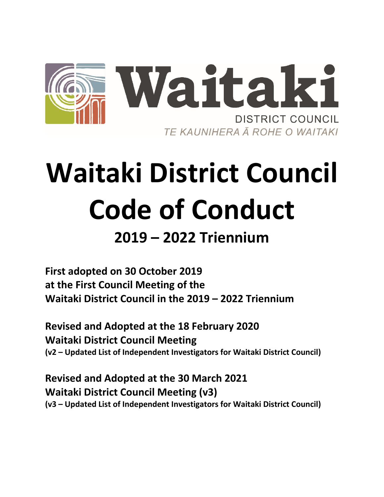

# **Waitaki District Council Code of Conduct**

## **2019 – 2022 Triennium**

**First adopted on 30 October 2019 at the First Council Meeting of the Waitaki District Council in the 2019 – 2022 Triennium**

**Revised and Adopted at the 18 February 2020 Waitaki District Council Meeting (v2 – Updated List of Independent Investigators for Waitaki District Council)**

**Revised and Adopted at the 30 March 2021 Waitaki District Council Meeting (v3) (v3 – Updated List of Independent Investigators for Waitaki District Council)**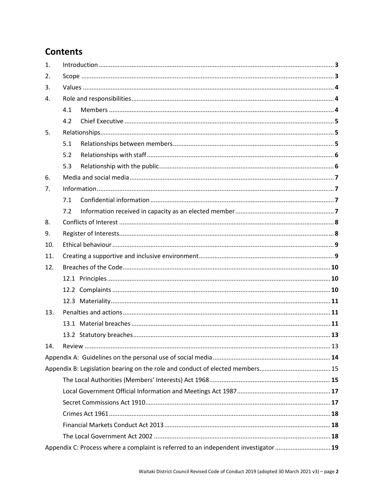## **Contents**

| 1.  |                                                                                     |  |  |
|-----|-------------------------------------------------------------------------------------|--|--|
| 2.  |                                                                                     |  |  |
| 3.  |                                                                                     |  |  |
| 4.  |                                                                                     |  |  |
|     | 4.1                                                                                 |  |  |
|     | 4.2                                                                                 |  |  |
| 5.  |                                                                                     |  |  |
|     | 5.1                                                                                 |  |  |
|     | 5.2                                                                                 |  |  |
|     | 5.3                                                                                 |  |  |
| 6.  |                                                                                     |  |  |
| 7.  |                                                                                     |  |  |
|     | 7.1                                                                                 |  |  |
|     | 7.2                                                                                 |  |  |
| 8.  |                                                                                     |  |  |
| 9.  |                                                                                     |  |  |
| 10. |                                                                                     |  |  |
| 11. |                                                                                     |  |  |
| 12. |                                                                                     |  |  |
|     |                                                                                     |  |  |
|     |                                                                                     |  |  |
|     |                                                                                     |  |  |
| 13. |                                                                                     |  |  |
|     |                                                                                     |  |  |
|     |                                                                                     |  |  |
| 14. |                                                                                     |  |  |
|     |                                                                                     |  |  |
|     |                                                                                     |  |  |
|     |                                                                                     |  |  |
|     |                                                                                     |  |  |
|     |                                                                                     |  |  |
|     |                                                                                     |  |  |
|     |                                                                                     |  |  |
|     |                                                                                     |  |  |
|     | Appendix C: Process where a complaint is referred to an independent investigator 19 |  |  |
|     |                                                                                     |  |  |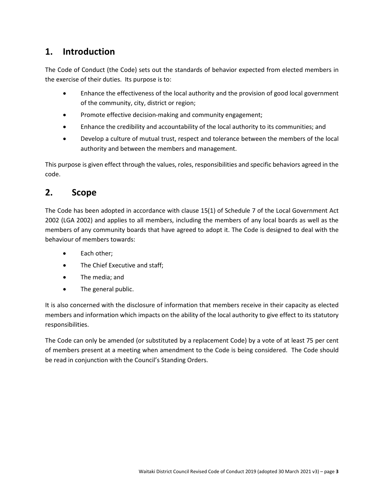## <span id="page-2-0"></span>**1. Introduction**

The Code of Conduct (the Code) sets out the standards of behavior expected from elected members in the exercise of their duties. Its purpose is to:

- Enhance the effectiveness of the local authority and the provision of good local government of the community, city, district or region;
- Promote effective decision-making and community engagement;
- Enhance the credibility and accountability of the local authority to its communities; and
- Develop a culture of mutual trust, respect and tolerance between the members of the local authority and between the members and management.

This purpose is given effect through the values, roles, responsibilities and specific behaviors agreed in the code.

## <span id="page-2-1"></span>**2. Scope**

The Code has been adopted in accordance with clause 15(1) of Schedule 7 of the Local Government Act 2002 (LGA 2002) and applies to all members, including the members of any local boards as well as the members of any community boards that have agreed to adopt it. The Code is designed to deal with the behaviour of members towards:

- Each other:
- The Chief Executive and staff;
- The media; and
- The general public.

It is also concerned with the disclosure of information that members receive in their capacity as elected members and information which impacts on the ability of the local authority to give effect to its statutory responsibilities.

The Code can only be amended (or substituted by a replacement Code) by a vote of at least 75 per cent of members present at a meeting when amendment to the Code is being considered. The Code should be read in conjunction with the Council's Standing Orders.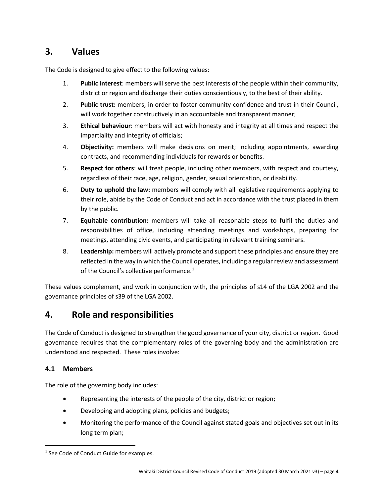## <span id="page-3-0"></span>**3. Values**

The Code is designed to give effect to the following values:

- 1. **Public interest**: members will serve the best interests of the people within their community, district or region and discharge their duties conscientiously, to the best of their ability.
- 2. **Public trust:** members, in order to foster community confidence and trust in their Council, will work together constructively in an accountable and transparent manner;
- 3. **Ethical behaviour**: members will act with honesty and integrity at all times and respect the impartiality and integrity of officials;
- 4. **Objectivity:** members will make decisions on merit; including appointments, awarding contracts, and recommending individuals for rewards or benefits.
- 5. **Respect for others**: will treat people, including other members, with respect and courtesy, regardless of their race, age, religion, gender, sexual orientation, or disability.
- 6. **Duty to uphold the law:** members will comply with all legislative requirements applying to their role, abide by the Code of Conduct and act in accordance with the trust placed in them by the public.
- 7. **Equitable contribution:** members will take all reasonable steps to fulfil the duties and responsibilities of office, including attending meetings and workshops, preparing for meetings, attending civic events, and participating in relevant training seminars.
- 8. **Leadership:** members will actively promote and support these principles and ensure they are reflected in the way in which the Council operates, including a regular review and assessment of the Council's collective performance.<sup>[1](#page-3-3)</sup>

These values complement, and work in conjunction with, the principles of s14 of the LGA 2002 and the governance principles of s39 of the LGA 2002.

## <span id="page-3-1"></span>**4. Role and responsibilities**

The Code of Conduct is designed to strengthen the good governance of your city, district or region. Good governance requires that the complementary roles of the governing body and the administration are understood and respected. These roles involve:

#### <span id="page-3-2"></span>**4.1 Members**

The role of the governing body includes:

- Representing the interests of the people of the city, district or region;
- Developing and adopting plans, policies and budgets;
- Monitoring the performance of the Council against stated goals and objectives set out in its long term plan;

<span id="page-3-3"></span><sup>&</sup>lt;sup>1</sup> See Code of Conduct Guide for examples.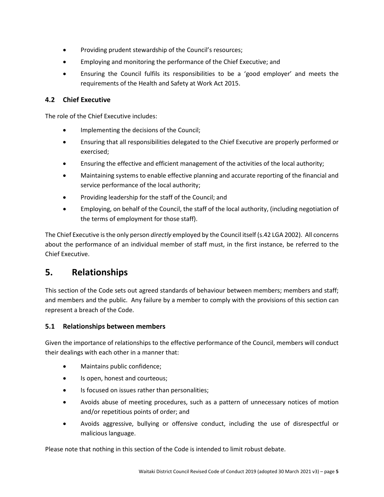- Providing prudent stewardship of the Council's resources;
- Employing and monitoring the performance of the Chief Executive; and
- Ensuring the Council fulfils its responsibilities to be a 'good employer' and meets the requirements of the Health and Safety at Work Act 2015.

#### <span id="page-4-0"></span>**4.2 Chief Executive**

The role of the Chief Executive includes:

- Implementing the decisions of the Council;
- Ensuring that all responsibilities delegated to the Chief Executive are properly performed or exercised;
- Ensuring the effective and efficient management of the activities of the local authority;
- Maintaining systems to enable effective planning and accurate reporting of the financial and service performance of the local authority;
- Providing leadership for the staff of the Council; and
- Employing, on behalf of the Council, the staff of the local authority, (including negotiation of the terms of employment for those staff).

The Chief Executive is the only person *directly* employed by the Council itself (s.42 LGA 2002). All concerns about the performance of an individual member of staff must, in the first instance, be referred to the Chief Executive.

## <span id="page-4-1"></span>**5. Relationships**

This section of the Code sets out agreed standards of behaviour between members; members and staff; and members and the public. Any failure by a member to comply with the provisions of this section can represent a breach of the Code.

#### <span id="page-4-2"></span>**5.1 Relationships between members**

Given the importance of relationships to the effective performance of the Council, members will conduct their dealings with each other in a manner that:

- Maintains public confidence;
- Is open, honest and courteous;
- Is focused on issues rather than personalities;
- Avoids abuse of meeting procedures, such as a pattern of unnecessary notices of motion and/or repetitious points of order; and
- Avoids aggressive, bullying or offensive conduct, including the use of disrespectful or malicious language.

Please note that nothing in this section of the Code is intended to limit robust debate.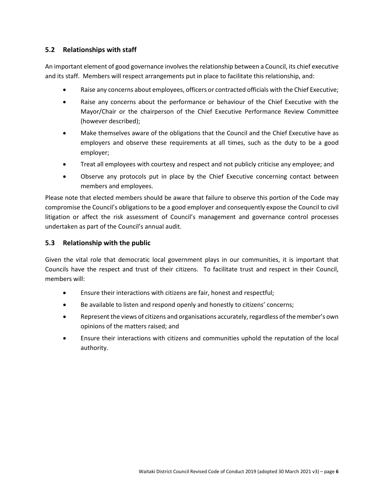#### <span id="page-5-0"></span>**5.2 Relationships with staff**

An important element of good governance involves the relationship between a Council, its chief executive and its staff. Members will respect arrangements put in place to facilitate this relationship, and:

- Raise any concerns about employees, officers or contracted officials with the Chief Executive;
- Raise any concerns about the performance or behaviour of the Chief Executive with the Mayor/Chair or the chairperson of the Chief Executive Performance Review Committee (however described);
- Make themselves aware of the obligations that the Council and the Chief Executive have as employers and observe these requirements at all times, such as the duty to be a good employer;
- Treat all employees with courtesy and respect and not publicly criticise any employee; and
- Observe any protocols put in place by the Chief Executive concerning contact between members and employees.

Please note that elected members should be aware that failure to observe this portion of the Code may compromise the Council's obligations to be a good employer and consequently expose the Council to civil litigation or affect the risk assessment of Council's management and governance control processes undertaken as part of the Council's annual audit.

#### <span id="page-5-1"></span>**5.3 Relationship with the public**

Given the vital role that democratic local government plays in our communities, it is important that Councils have the respect and trust of their citizens. To facilitate trust and respect in their Council, members will:

- Ensure their interactions with citizens are fair, honest and respectful;
- Be available to listen and respond openly and honestly to citizens' concerns;
- Represent the views of citizens and organisations accurately, regardless of the member's own opinions of the matters raised; and
- Ensure their interactions with citizens and communities uphold the reputation of the local authority.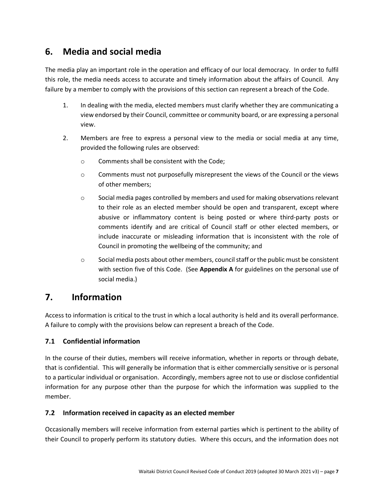## <span id="page-6-0"></span>**6. Media and social media**

The media play an important role in the operation and efficacy of our local democracy. In order to fulfil this role, the media needs access to accurate and timely information about the affairs of Council. Any failure by a member to comply with the provisions of this section can represent a breach of the Code.

- 1. In dealing with the media, elected members must clarify whether they are communicating a view endorsed by their Council, committee or community board, or are expressing a personal view.
- 2. Members are free to express a personal view to the media or social media at any time, provided the following rules are observed:
	- o Comments shall be consistent with the Code;
	- o Comments must not purposefully misrepresent the views of the Council or the views of other members;
	- $\circ$  Social media pages controlled by members and used for making observations relevant to their role as an elected member should be open and transparent, except where abusive or inflammatory content is being posted or where third-party posts or comments identify and are critical of Council staff or other elected members, or include inaccurate or misleading information that is inconsistent with the role of Council in promoting the wellbeing of the community; and
	- $\circ$  Social media posts about other members, council staff or the public must be consistent with section five of this Code. (See **Appendix A** for guidelines on the personal use of social media.)

## <span id="page-6-1"></span>**7. Information**

Access to information is critical to the trust in which a local authority is held and its overall performance. A failure to comply with the provisions below can represent a breach of the Code.

#### <span id="page-6-2"></span>**7.1 Confidential information**

In the course of their duties, members will receive information, whether in reports or through debate, that is confidential. This will generally be information that is either commercially sensitive or is personal to a particular individual or organisation. Accordingly, members agree not to use or disclose confidential information for any purpose other than the purpose for which the information was supplied to the member.

#### <span id="page-6-3"></span>**7.2 Information received in capacity as an elected member**

Occasionally members will receive information from external parties which is pertinent to the ability of their Council to properly perform its statutory duties. Where this occurs, and the information does not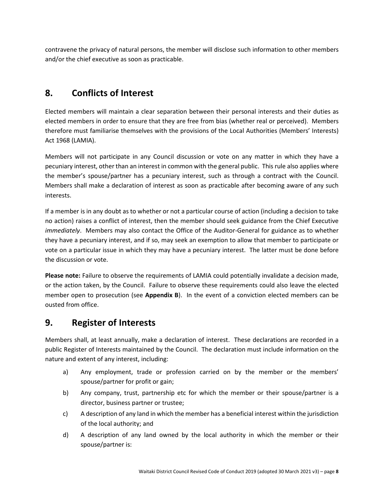contravene the privacy of natural persons, the member will disclose such information to other members and/or the chief executive as soon as practicable.

## <span id="page-7-0"></span>**8. Conflicts of Interest**

Elected members will maintain a clear separation between their personal interests and their duties as elected members in order to ensure that they are free from bias (whether real or perceived). Members therefore must familiarise themselves with the provisions of the Local Authorities (Members' Interests) Act 1968 (LAMIA).

Members will not participate in any Council discussion or vote on any matter in which they have a pecuniary interest, other than an interest in common with the general public. This rule also applies where the member's spouse/partner has a pecuniary interest, such as through a contract with the Council. Members shall make a declaration of interest as soon as practicable after becoming aware of any such interests.

If a member is in any doubt as to whether or not a particular course of action (including a decision to take no action) raises a conflict of interest, then the member should seek guidance from the Chief Executive *immediately*. Members may also contact the Office of the Auditor-General for guidance as to whether they have a pecuniary interest, and if so, may seek an exemption to allow that member to participate or vote on a particular issue in which they may have a pecuniary interest. The latter must be done before the discussion or vote.

**Please note:** Failure to observe the requirements of LAMIA could potentially invalidate a decision made, or the action taken, by the Council. Failure to observe these requirements could also leave the elected member open to prosecution (see **Appendix B**). In the event of a conviction elected members can be ousted from office.

## <span id="page-7-1"></span>**9. Register of Interests**

Members shall, at least annually, make a declaration of interest. These declarations are recorded in a public Register of Interests maintained by the Council. The declaration must include information on the nature and extent of any interest, including:

- a) Any employment, trade or profession carried on by the member or the members' spouse/partner for profit or gain;
- b) Any company, trust, partnership etc for which the member or their spouse/partner is a director, business partner or trustee;
- c) A description of any land in which the member has a beneficial interest within the jurisdiction of the local authority; and
- d) A description of any land owned by the local authority in which the member or their spouse/partner is: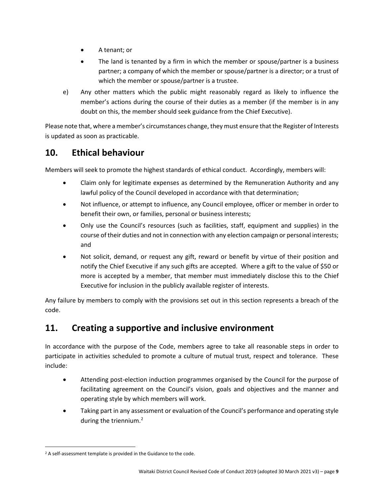- A tenant; or
- The land is tenanted by a firm in which the member or spouse/partner is a business partner; a company of which the member or spouse/partner is a director; or a trust of which the member or spouse/partner is a trustee.
- e) Any other matters which the public might reasonably regard as likely to influence the member's actions during the course of their duties as a member (if the member is in any doubt on this, the member should seek guidance from the Chief Executive).

Please note that, where a member's circumstances change, they must ensure that the Register of Interests is updated as soon as practicable.

## <span id="page-8-0"></span>**10. Ethical behaviour**

Members will seek to promote the highest standards of ethical conduct. Accordingly, members will:

- Claim only for legitimate expenses as determined by the Remuneration Authority and any lawful policy of the Council developed in accordance with that determination;
- Not influence, or attempt to influence, any Council employee, officer or member in order to benefit their own, or families, personal or business interests;
- Only use the Council's resources (such as facilities, staff, equipment and supplies) in the course of their duties and not in connection with any election campaign or personal interests; and
- Not solicit, demand, or request any gift, reward or benefit by virtue of their position and notify the Chief Executive if any such gifts are accepted. Where a gift to the value of \$50 or more is accepted by a member, that member must immediately disclose this to the Chief Executive for inclusion in the publicly available register of interests.

Any failure by members to comply with the provisions set out in this section represents a breach of the code.

## <span id="page-8-1"></span>**11. Creating a supportive and inclusive environment**

In accordance with the purpose of the Code, members agree to take all reasonable steps in order to participate in activities scheduled to promote a culture of mutual trust, respect and tolerance. These include:

- Attending post-election induction programmes organised by the Council for the purpose of facilitating agreement on the Council's vision, goals and objectives and the manner and operating style by which members will work.
- Taking part in any assessment or evaluation of the Council's performance and operating style during the triennium.<sup>[2](#page-8-2)</sup>

<span id="page-8-2"></span><sup>&</sup>lt;sup>2</sup> A self-assessment template is provided in the Guidance to the code.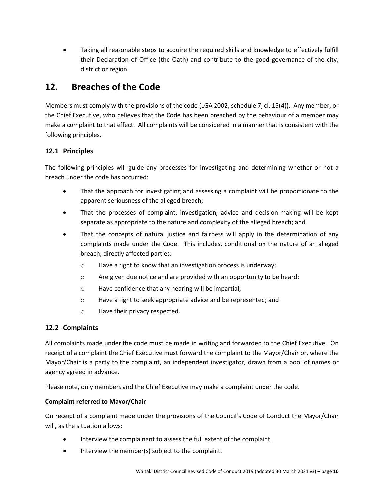• Taking all reasonable steps to acquire the required skills and knowledge to effectively fulfill their Declaration of Office (the Oath) and contribute to the good governance of the city, district or region.

## <span id="page-9-0"></span>**12. Breaches of the Code**

Members must comply with the provisions of the code (LGA 2002, schedule 7, cl. 15(4)). Any member, or the Chief Executive, who believes that the Code has been breached by the behaviour of a member may make a complaint to that effect. All complaints will be considered in a manner that is consistent with the following principles.

#### <span id="page-9-1"></span>**12.1 Principles**

The following principles will guide any processes for investigating and determining whether or not a breach under the code has occurred:

- That the approach for investigating and assessing a complaint will be proportionate to the apparent seriousness of the alleged breach;
- That the processes of complaint, investigation, advice and decision-making will be kept separate as appropriate to the nature and complexity of the alleged breach; and
- That the concepts of natural justice and fairness will apply in the determination of any complaints made under the Code. This includes, conditional on the nature of an alleged breach, directly affected parties:
	- o Have a right to know that an investigation process is underway;
	- $\circ$  Are given due notice and are provided with an opportunity to be heard;
	- o Have confidence that any hearing will be impartial;
	- o Have a right to seek appropriate advice and be represented; and
	- o Have their privacy respected.

#### <span id="page-9-2"></span>**12.2 Complaints**

All complaints made under the code must be made in writing and forwarded to the Chief Executive. On receipt of a complaint the Chief Executive must forward the complaint to the Mayor/Chair or, where the Mayor/Chair is a party to the complaint, an independent investigator, drawn from a pool of names or agency agreed in advance.

Please note, only members and the Chief Executive may make a complaint under the code.

#### **Complaint referred to Mayor/Chair**

On receipt of a complaint made under the provisions of the Council's Code of Conduct the Mayor/Chair will, as the situation allows:

- Interview the complainant to assess the full extent of the complaint.
- Interview the member(s) subject to the complaint.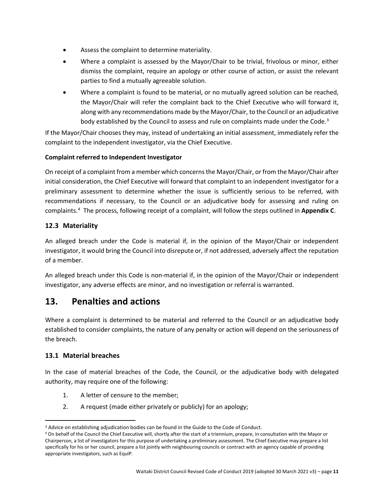- Assess the complaint to determine materiality.
- Where a complaint is assessed by the Mayor/Chair to be trivial, frivolous or minor, either dismiss the complaint, require an apology or other course of action, or assist the relevant parties to find a mutually agreeable solution.
- Where a complaint is found to be material, or no mutually agreed solution can be reached, the Mayor/Chair will refer the complaint back to the Chief Executive who will forward it, along with any recommendations made by the Mayor/Chair, to the Council or an adjudicative body established by the Council to assess and rule on complaints made under the Code.<sup>[3](#page-10-3)</sup>

If the Mayor/Chair chooses they may, instead of undertaking an initial assessment, immediately refer the complaint to the independent investigator, via the Chief Executive.

#### **Complaint referred to Independent Investigator**

On receipt of a complaint from a member which concerns the Mayor/Chair, or from the Mayor/Chair after initial consideration, the Chief Executive will forward that complaint to an independent investigator for a preliminary assessment to determine whether the issue is sufficiently serious to be referred, with recommendations if necessary, to the Council or an adjudicative body for assessing and ruling on complaints. [4](#page-10-4) The process, following receipt of a complaint, will follow the steps outlined in **Appendix C**.

#### <span id="page-10-0"></span>**12.3 Materiality**

An alleged breach under the Code is material if, in the opinion of the Mayor/Chair or independent investigator, it would bring the Council into disrepute or, if not addressed, adversely affect the reputation of a member.

An alleged breach under this Code is non-material if, in the opinion of the Mayor/Chair or independent investigator, any adverse effects are minor, and no investigation or referral is warranted.

### <span id="page-10-1"></span>**13. Penalties and actions**

Where a complaint is determined to be material and referred to the Council or an adjudicative body established to consider complaints, the nature of any penalty or action will depend on the seriousness of the breach.

#### <span id="page-10-2"></span>**13.1 Material breaches**

In the case of material breaches of the Code, the Council, or the adjudicative body with delegated authority, may require one of the following:

- 1. A letter of censure to the member;
- 2. A request (made either privately or publicly) for an apology;

<span id="page-10-3"></span><sup>&</sup>lt;sup>3</sup> Advice on establishing adjudication bodies can be found in the Guide to the Code of Conduct.

<span id="page-10-4"></span><sup>4</sup> On behalf of the Council the Chief Executive will, shortly after the start of a triennium, prepare, in consultation with the Mayor or Chairperson, a list of investigators for this purpose of undertaking a preliminary assessment. The Chief Executive may prepare a list specifically for his or her council, prepare a list jointly with neighbouring councils or contract with an agency capable of providing appropriate investigators, such as EquiP.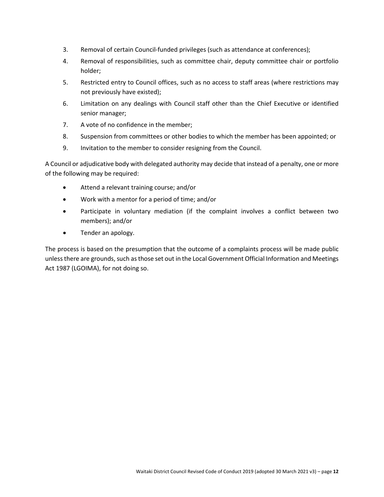- 3. Removal of certain Council-funded privileges (such as attendance at conferences);
- 4. Removal of responsibilities, such as committee chair, deputy committee chair or portfolio holder;
- 5. Restricted entry to Council offices, such as no access to staff areas (where restrictions may not previously have existed);
- 6. Limitation on any dealings with Council staff other than the Chief Executive or identified senior manager;
- 7. A vote of no confidence in the member;
- 8. Suspension from committees or other bodies to which the member has been appointed; or
- 9. Invitation to the member to consider resigning from the Council.

A Council or adjudicative body with delegated authority may decide that instead of a penalty, one or more of the following may be required:

- Attend a relevant training course; and/or
- Work with a mentor for a period of time; and/or
- Participate in voluntary mediation (if the complaint involves a conflict between two members); and/or
- Tender an apology.

The process is based on the presumption that the outcome of a complaints process will be made public unless there are grounds, such as those set out in the Local Government Official Information and Meetings Act 1987 (LGOIMA), for not doing so.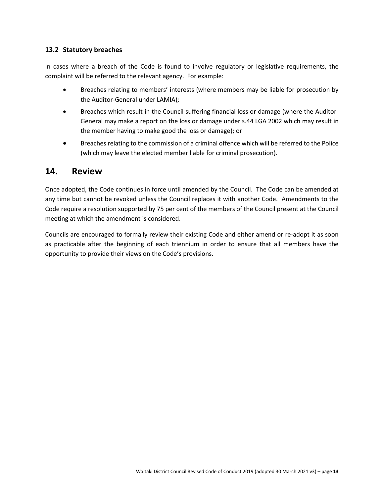#### <span id="page-12-0"></span>**13.2 Statutory breaches**

In cases where a breach of the Code is found to involve regulatory or legislative requirements, the complaint will be referred to the relevant agency. For example:

- Breaches relating to members' interests (where members may be liable for prosecution by the Auditor-General under LAMIA);
- Breaches which result in the Council suffering financial loss or damage (where the Auditor-General may make a report on the loss or damage under s.44 LGA 2002 which may result in the member having to make good the loss or damage); or
- Breaches relating to the commission of a criminal offence which will be referred to the Police (which may leave the elected member liable for criminal prosecution).

#### <span id="page-12-1"></span>**14. Review**

Once adopted, the Code continues in force until amended by the Council. The Code can be amended at any time but cannot be revoked unless the Council replaces it with another Code. Amendments to the Code require a resolution supported by 75 per cent of the members of the Council present at the Council meeting at which the amendment is considered.

Councils are encouraged to formally review their existing Code and either amend or re-adopt it as soon as practicable after the beginning of each triennium in order to ensure that all members have the opportunity to provide their views on the Code's provisions.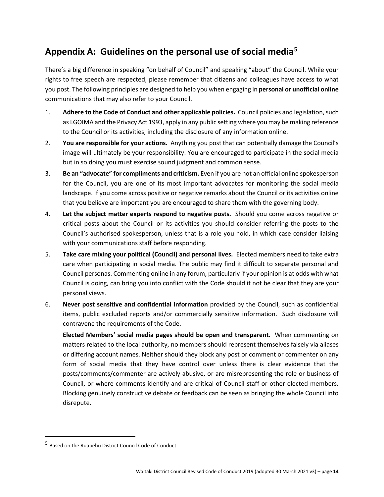## <span id="page-13-0"></span>**Appendix A: Guidelines on the personal use of social media[5](#page-13-2)**

There's a big difference in speaking "on behalf of Council" and speaking "about" the Council. While your rights to free speech are respected, please remember that citizens and colleagues have access to what you post. The following principles are designed to help you when engaging in **personal or unofficial online** communications that may also refer to your Council.

- 1. **Adhere to the Code of Conduct and other applicable policies.** Council policies and legislation, such as LGOIMA and the Privacy Act 1993, apply in any public setting where you may be making reference to the Council or its activities, including the disclosure of any information online.
- 2. **You are responsible for your actions.** Anything you post that can potentially damage the Council's image will ultimately be your responsibility. You are encouraged to participate in the social media but in so doing you must exercise sound judgment and common sense.
- 3. **Be an "advocate" for compliments and criticism.** Even if you are not an official online spokesperson for the Council, you are one of its most important advocates for monitoring the social media landscape. If you come across positive or negative remarks about the Council or its activities online that you believe are important you are encouraged to share them with the governing body.
- 4. **Let the subject matter experts respond to negative posts.** Should you come across negative or critical posts about the Council or its activities you should consider referring the posts to the Council's authorised spokesperson, unless that is a role you hold, in which case consider liaising with your communications staff before responding.
- 5. **Take care mixing your political (Council) and personal lives.** Elected members need to take extra care when participating in social media. The public may find it difficult to separate personal and Council personas. Commenting online in any forum, particularly if your opinion is at odds with what Council is doing, can bring you into conflict with the Code should it not be clear that they are your personal views.
- 6. **Never post sensitive and confidential information** provided by the Council, such as confidential items, public excluded reports and/or commercially sensitive information. Such disclosure will contravene the requirements of the Code.

**Elected Members' social media pages should be open and transparent.** When commenting on matters related to the local authority, no members should represent themselves falsely via aliases or differing account names. Neither should they block any post or comment or commenter on any form of social media that they have control over unless there is clear evidence that the posts/comments/commenter are actively abusive, or are misrepresenting the role or business of Council, or where comments identify and are critical of Council staff or other elected members. Blocking genuinely constructive debate or feedback can be seen as bringing the whole Council into disrepute.

<span id="page-13-2"></span><span id="page-13-1"></span> <sup>5</sup> Based on the Ruapehu District Council Code of Conduct.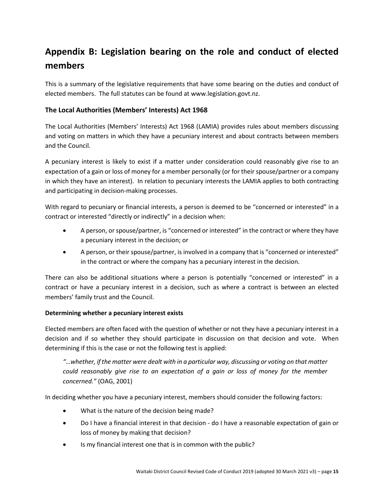## **Appendix B: Legislation bearing on the role and conduct of elected members**

This is a summary of the legislative requirements that have some bearing on the duties and conduct of elected members. The full statutes can be found a[t www.legislation.govt.nz.](http://www.legislationonline.govt.nz/)

#### <span id="page-14-0"></span>**The Local Authorities (Members' Interests) Act 1968**

The Local Authorities (Members' Interests) Act 1968 (LAMIA) provides rules about members discussing and voting on matters in which they have a pecuniary interest and about contracts between members and the Council.

A pecuniary interest is likely to exist if a matter under consideration could reasonably give rise to an expectation of a gain or loss of money for a member personally (or for their spouse/partner or a company in which they have an interest). In relation to pecuniary interests the LAMIA applies to both contracting and participating in decision-making processes.

With regard to pecuniary or financial interests, a person is deemed to be "concerned or interested" in a contract or interested "directly or indirectly" in a decision when:

- A person, or spouse/partner, is "concerned or interested" in the contract or where they have a pecuniary interest in the decision; or
- A person, or their spouse/partner, is involved in a company that is "concerned or interested" in the contract or where the company has a pecuniary interest in the decision.

There can also be additional situations where a person is potentially "concerned or interested" in a contract or have a pecuniary interest in a decision, such as where a contract is between an elected members' family trust and the Council.

#### **Determining whether a pecuniary interest exists**

Elected members are often faced with the question of whether or not they have a pecuniary interest in a decision and if so whether they should participate in discussion on that decision and vote. When determining if this is the case or not the following test is applied:

*"…whether, if the matter were dealt with in a particular way, discussing or voting on that matter could reasonably give rise to an expectation of a gain or loss of money for the member concerned."* (OAG, 2001)

In deciding whether you have a pecuniary interest, members should consider the following factors:

- What is the nature of the decision being made?
- Do I have a financial interest in that decision do I have a reasonable expectation of gain or loss of money by making that decision?
- Is my financial interest one that is in common with the public?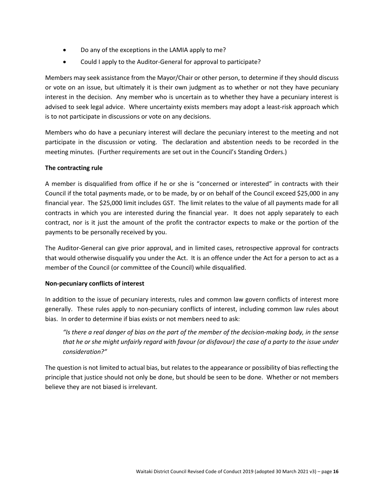- Do any of the exceptions in the LAMIA apply to me?
- Could I apply to the Auditor-General for approval to participate?

Members may seek assistance from the Mayor/Chair or other person, to determine if they should discuss or vote on an issue, but ultimately it is their own judgment as to whether or not they have pecuniary interest in the decision. Any member who is uncertain as to whether they have a pecuniary interest is advised to seek legal advice. Where uncertainty exists members may adopt a least-risk approach which is to not participate in discussions or vote on any decisions.

Members who do have a pecuniary interest will declare the pecuniary interest to the meeting and not participate in the discussion or voting. The declaration and abstention needs to be recorded in the meeting minutes. (Further requirements are set out in the Council's Standing Orders.)

#### **The contracting rule**

A member is disqualified from office if he or she is "concerned or interested" in contracts with their Council if the total payments made, or to be made, by or on behalf of the Council exceed \$25,000 in any financial year. The \$25,000 limit includes GST. The limit relates to the value of all payments made for all contracts in which you are interested during the financial year. It does not apply separately to each contract, nor is it just the amount of the profit the contractor expects to make or the portion of the payments to be personally received by you.

The Auditor-General can give prior approval, and in limited cases, retrospective approval for contracts that would otherwise disqualify you under the Act. It is an offence under the Act for a person to act as a member of the Council (or committee of the Council) while disqualified.

#### **Non-pecuniary conflicts of interest**

In addition to the issue of pecuniary interests, rules and common law govern conflicts of interest more generally. These rules apply to non-pecuniary conflicts of interest, including common law rules about bias. In order to determine if bias exists or not members need to ask:

*"Is there a real danger of bias on the part of the member of the decision-making body, in the sense that he or she might unfairly regard with favour (or disfavour) the case of a party to the issue under consideration?"*

The question is not limited to actual bias, but relates to the appearance or possibility of bias reflecting the principle that justice should not only be done, but should be seen to be done. Whether or not members believe they are not biased is irrelevant.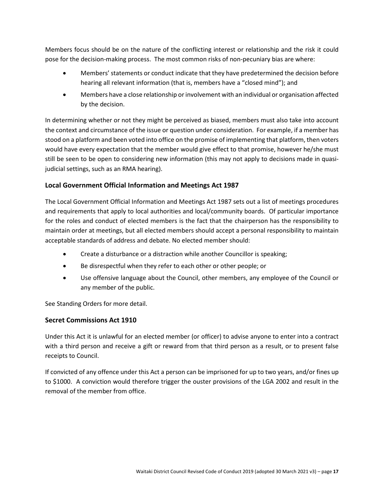Members focus should be on the nature of the conflicting interest or relationship and the risk it could pose for the decision-making process. The most common risks of non-pecuniary bias are where:

- Members' statements or conduct indicate that they have predetermined the decision before hearing all relevant information (that is, members have a "closed mind"); and
- Members have a close relationship or involvement with an individual or organisation affected by the decision.

In determining whether or not they might be perceived as biased, members must also take into account the context and circumstance of the issue or question under consideration. For example, if a member has stood on a platform and been voted into office on the promise of implementing that platform, then voters would have every expectation that the member would give effect to that promise, however he/she must still be seen to be open to considering new information (this may not apply to decisions made in quasijudicial settings, such as an RMA hearing).

#### <span id="page-16-0"></span>**Local Government Official Information and Meetings Act 1987**

The Local Government Official Information and Meetings Act 1987 sets out a list of meetings procedures and requirements that apply to local authorities and local/community boards. Of particular importance for the roles and conduct of elected members is the fact that the chairperson has the responsibility to maintain order at meetings, but all elected members should accept a personal responsibility to maintain acceptable standards of address and debate. No elected member should:

- Create a disturbance or a distraction while another Councillor is speaking;
- Be disrespectful when they refer to each other or other people; or
- Use offensive language about the Council, other members, any employee of the Council or any member of the public.

See Standing Orders for more detail.

#### <span id="page-16-1"></span>**Secret Commissions Act 1910**

Under this Act it is unlawful for an elected member (or officer) to advise anyone to enter into a contract with a third person and receive a gift or reward from that third person as a result, or to present false receipts to Council.

If convicted of any offence under this Act a person can be imprisoned for up to two years, and/or fines up to \$1000. A conviction would therefore trigger the ouster provisions of the LGA 2002 and result in the removal of the member from office.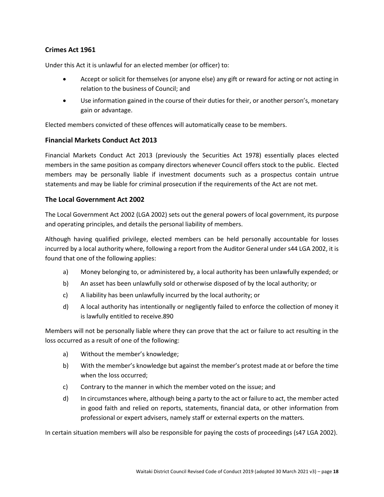#### <span id="page-17-0"></span>**Crimes Act 1961**

Under this Act it is unlawful for an elected member (or officer) to:

- Accept or solicit for themselves (or anyone else) any gift or reward for acting or not acting in relation to the business of Council; and
- Use information gained in the course of their duties for their, or another person's, monetary gain or advantage.

Elected members convicted of these offences will automatically cease to be members.

#### <span id="page-17-1"></span>**Financial Markets Conduct Act 2013**

Financial Markets Conduct Act 2013 (previously the Securities Act 1978) essentially places elected members in the same position as company directors whenever Council offers stock to the public. Elected members may be personally liable if investment documents such as a prospectus contain untrue statements and may be liable for criminal prosecution if the requirements of the Act are not met.

#### <span id="page-17-2"></span>**The Local Government Act 2002**

The Local Government Act 2002 (LGA 2002) sets out the general powers of local government, its purpose and operating principles, and details the personal liability of members.

Although having qualified privilege, elected members can be held personally accountable for losses incurred by a local authority where, following a report from the Auditor General under s44 LGA 2002, it is found that one of the following applies:

- a) Money belonging to, or administered by, a local authority has been unlawfully expended; or
- b) An asset has been unlawfully sold or otherwise disposed of by the local authority; or
- c) A liability has been unlawfully incurred by the local authority; or
- d) A local authority has intentionally or negligently failed to enforce the collection of money it is lawfully entitled to receive.890

Members will not be personally liable where they can prove that the act or failure to act resulting in the loss occurred as a result of one of the following:

- a) Without the member's knowledge;
- b) With the member's knowledge but against the member's protest made at or before the time when the loss occurred;
- c) Contrary to the manner in which the member voted on the issue; and
- d) In circumstances where, although being a party to the act or failure to act, the member acted in good faith and relied on reports, statements, financial data, or other information from professional or expert advisers, namely staff or external experts on the matters.

In certain situation members will also be responsible for paying the costs of proceedings (s47 LGA 2002).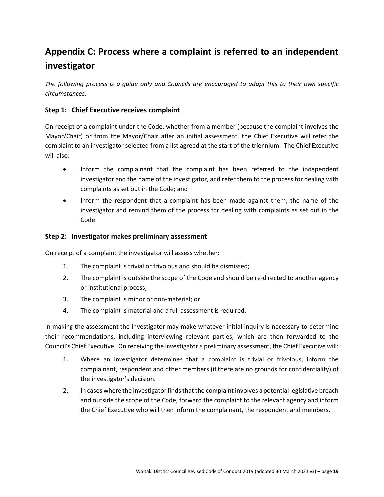## <span id="page-18-0"></span>**Appendix C: Process where a complaint is referred to an independent investigator**

*The following process is a guide only and Councils are encouraged to adapt this to their own specific circumstances.*

#### **Step 1: Chief Executive receives complaint**

On receipt of a complaint under the Code, whether from a member (because the complaint involves the Mayor/Chair) or from the Mayor/Chair after an initial assessment, the Chief Executive will refer the complaint to an investigator selected from a list agreed at the start of the triennium. The Chief Executive will also:

- Inform the complainant that the complaint has been referred to the independent investigator and the name of the investigator, and refer them to the process for dealing with complaints as set out in the Code; and
- Inform the respondent that a complaint has been made against them, the name of the investigator and remind them of the process for dealing with complaints as set out in the Code.

#### **Step 2: Investigator makes preliminary assessment**

On receipt of a complaint the investigator will assess whether:

- 1. The complaint is trivial or frivolous and should be dismissed;
- 2. The complaint is outside the scope of the Code and should be re-directed to another agency or institutional process;
- 3. The complaint is minor or non-material; or
- 4. The complaint is material and a full assessment is required.

In making the assessment the investigator may make whatever initial inquiry is necessary to determine their recommendations, including interviewing relevant parties, which are then forwarded to the Council's Chief Executive. On receiving the investigator's preliminary assessment, the Chief Executive will:

- 1. Where an investigator determines that a complaint is trivial or frivolous, inform the complainant, respondent and other members (if there are no grounds for confidentiality) of the investigator's decision.
- 2. In cases where the investigator finds that the complaint involves a potential legislative breach and outside the scope of the Code, forward the complaint to the relevant agency and inform the Chief Executive who will then inform the complainant, the respondent and members.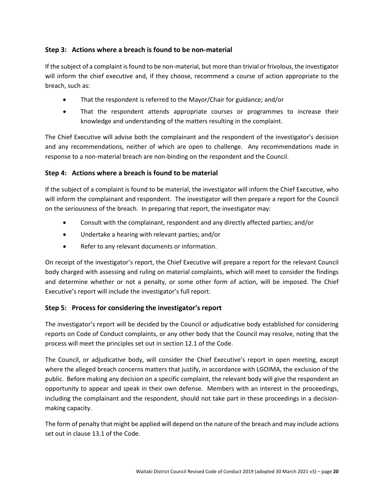#### **Step 3: Actions where a breach is found to be non-material**

If the subject of a complaint is found to be non-material, but more than trivial or frivolous, the investigator will inform the chief executive and, if they choose, recommend a course of action appropriate to the breach, such as:

- That the respondent is referred to the Mayor/Chair for guidance; and/or
- That the respondent attends appropriate courses or programmes to increase their knowledge and understanding of the matters resulting in the complaint.

The Chief Executive will advise both the complainant and the respondent of the investigator's decision and any recommendations, neither of which are open to challenge. Any recommendations made in response to a non-material breach are non-binding on the respondent and the Council.

#### **Step 4: Actions where a breach is found to be material**

If the subject of a complaint is found to be material, the investigator will inform the Chief Executive, who will inform the complainant and respondent. The investigator will then prepare a report for the Council on the seriousness of the breach. In preparing that report, the investigator may:

- Consult with the complainant, respondent and any directly affected parties; and/or
- Undertake a hearing with relevant parties; and/or
- Refer to any relevant documents or information.

On receipt of the investigator's report, the Chief Executive will prepare a report for the relevant Council body charged with assessing and ruling on material complaints, which will meet to consider the findings and determine whether or not a penalty, or some other form of action, will be imposed. The Chief Executive's report will include the investigator's full report.

#### **Step 5: Process for considering the investigator's report**

The investigator's report will be decided by the Council or adjudicative body established for considering reports on Code of Conduct complaints, or any other body that the Council may resolve, noting that the process will meet the principles set out in section 12.1 of the Code.

The Council, or adjudicative body, will consider the Chief Executive's report in open meeting, except where the alleged breach concerns matters that justify, in accordance with LGOIMA, the exclusion of the public. Before making any decision on a specific complaint, the relevant body will give the respondent an opportunity to appear and speak in their own defense. Members with an interest in the proceedings, including the complainant and the respondent, should not take part in these proceedings in a decisionmaking capacity.

The form of penalty that might be applied will depend on the nature of the breach and may include actions set out in clause 13.1 of the Code.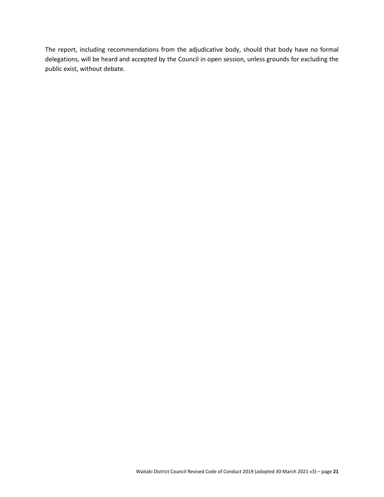The report, including recommendations from the adjudicative body, should that body have no formal delegations, will be heard and accepted by the Council in open session, unless grounds for excluding the public exist, without debate.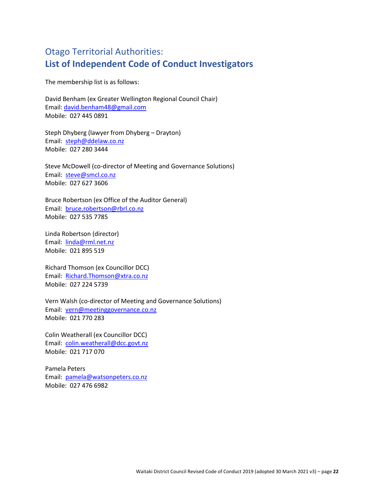## Otago Territorial Authorities: **List of Independent Code of Conduct Investigators**

The membership list is as follows:

David Benham (ex Greater Wellington Regional Council Chair) Email: [david.benham48@gmail.com](mailto:david.benham48@gmail.com) Mobile: 027 445 0891

Steph Dhyberg (lawyer from Dhyberg – Drayton) Email: [steph@ddelaw.co.nz](mailto:steph@ddelaw.co.nz) Mobile: 027 280 3444

Steve McDowell (co-director of Meeting and Governance Solutions) Email: [steve@smcl.co.nz](mailto:steve@smcl.co.nz) Mobile: 027 627 3606

Bruce Robertson (ex Office of the Auditor General) Email: [bruce.robertson@rbrl.co.nz](mailto:bruce.robertson@rbrl.co.nz) Mobile: 027 535 7785

Linda Robertson (director) Email: [linda@rml.net.nz](mailto:linda@rml.net.nz) Mobile: 021 895 519

Richard Thomson (ex Councillor DCC) Email: [Richard.Thomson@xtra.co.nz](mailto:Richard.Thomson@xtra.co.nz) Mobile: 027 224 5739

Vern Walsh (co-director of Meeting and Governance Solutions) Email: [vern@meetinggovernance.co.nz](mailto:vern@meetinggovernance.co.nz) Mobile: 021 770 283

Colin Weatherall (ex Councillor DCC) Email: [colin.weatherall@dcc.govt.nz](mailto:colin.weatherall@dcc.govt.nz) Mobile: 021 717 070

Pamela Peters Email: [pamela@watsonpeters.co.nz](mailto:pamela@watsonpeters.co.nz) Mobile: 027 476 6982